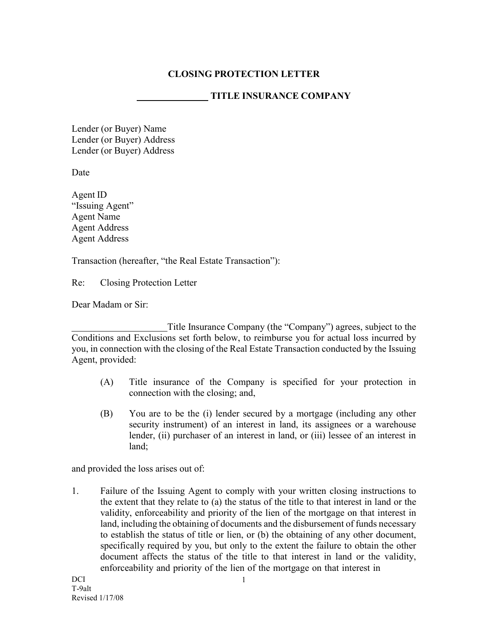## **CLOSING PROTECTION LETTER**

## **TITLE INSURANCE COMPANY**

Lender (or Buyer) Name Lender (or Buyer) Address Lender (or Buyer) Address

Date

Agent ID "Issuing Agent" Agent Name Agent Address Agent Address

Transaction (hereafter, "the Real Estate Transaction"):

Re: Closing Protection Letter

Dear Madam or Sir:

Title Insurance Company (the "Company") agrees, subject to the Conditions and Exclusions set forth below, to reimburse you for actual loss incurred by you, in connection with the closing of the Real Estate Transaction conducted by the Issuing Agent, provided:

- (A) Title insurance of the Company is specified for your protection in connection with the closing; and,
- (B) You are to be the (i) lender secured by a mortgage (including any other security instrument) of an interest in land, its assignees or a warehouse lender, (ii) purchaser of an interest in land, or (iii) lessee of an interest in land;

and provided the loss arises out of:

1. Failure of the Issuing Agent to comply with your written closing instructions to the extent that they relate to (a) the status of the title to that interest in land or the validity, enforceability and priority of the lien of the mortgage on that interest in land, including the obtaining of documents and the disbursement of funds necessary to establish the status of title or lien, or (b) the obtaining of any other document, specifically required by you, but only to the extent the failure to obtain the other document affects the status of the title to that interest in land or the validity, enforceability and priority of the lien of the mortgage on that interest in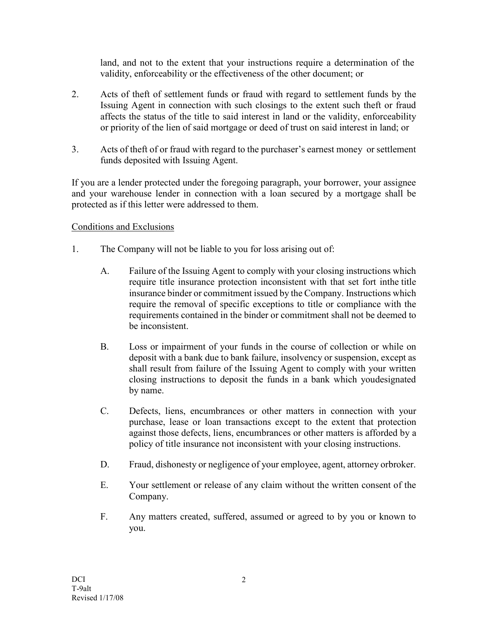land, and not to the extent that your instructions require a determination of the validity, enforceability or the effectiveness of the other document; or

- 2. Acts of theft of settlement funds or fraud with regard to settlement funds by the Issuing Agent in connection with such closings to the extent such theft or fraud affects the status of the title to said interest in land or the validity, enforceability or priority of the lien of said mortgage or deed of trust on said interest in land; or
- 3. Acts of theft of or fraud with regard to the purchaser's earnest money or settlement funds deposited with Issuing Agent.

If you are a lender protected under the foregoing paragraph, your borrower, your assignee and your warehouse lender in connection with a loan secured by a mortgage shall be protected as if this letter were addressed to them.

## Conditions and Exclusions

- 1. The Company will not be liable to you for loss arising out of:
	- A. Failure of the Issuing Agent to comply with your closing instructions which require title insurance protection inconsistent with that set fort inthe title insurance binder or commitment issued by the Company. Instructions which require the removal of specific exceptions to title or compliance with the requirements contained in the binder or commitment shall not be deemed to be inconsistent.
	- B. Loss or impairment of your funds in the course of collection or while on deposit with a bank due to bank failure, insolvency or suspension, except as shall result from failure of the Issuing Agent to comply with your written closing instructions to deposit the funds in a bank which youdesignated by name.
	- C. Defects, liens, encumbrances or other matters in connection with your purchase, lease or loan transactions except to the extent that protection against those defects, liens, encumbrances or other matters is afforded by a policy of title insurance not inconsistent with your closing instructions.
	- D. Fraud, dishonesty or negligence of your employee, agent, attorney orbroker.
	- E. Your settlement or release of any claim without the written consent of the Company.
	- F. Any matters created, suffered, assumed or agreed to by you or known to you.